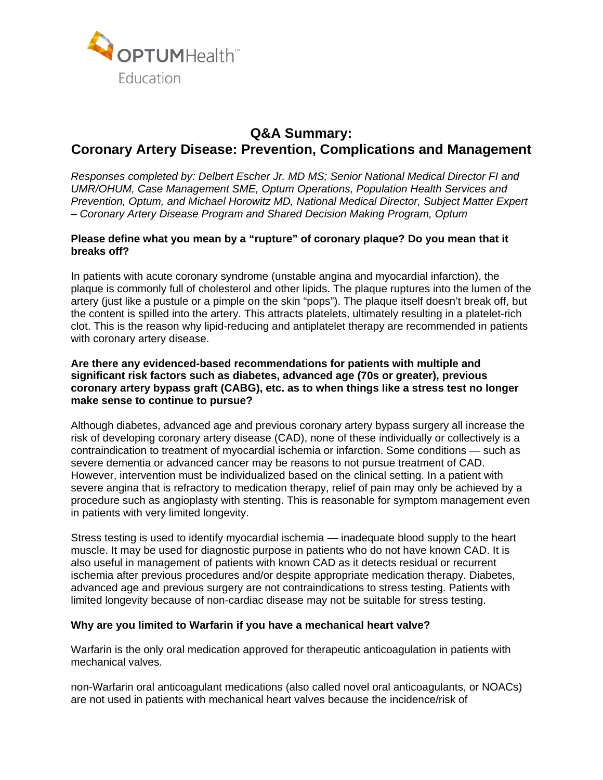

# **Q&A Summary: Coronary Artery Disease: Prevention, Complications and Management**

*Responses completed by: Delbert Escher Jr. MD MS; Senior National Medical Director FI and UMR/OHUM, Case Management SME, Optum Operations, Population Health Services and Prevention, Optum, and Michael Horowitz MD, National Medical Director, Subject Matter Expert – Coronary Artery Disease Program and Shared Decision Making Program, Optum* 

# **Please define what you mean by a "rupture" of coronary plaque? Do you mean that it breaks off?**

In patients with acute coronary syndrome (unstable angina and myocardial infarction), the plaque is commonly full of cholesterol and other lipids. The plaque ruptures into the lumen of the artery (just like a pustule or a pimple on the skin "pops"). The plaque itself doesn't break off, but the content is spilled into the artery. This attracts platelets, ultimately resulting in a platelet-rich clot. This is the reason why lipid-reducing and antiplatelet therapy are recommended in patients with coronary artery disease.

# **Are there any evidenced-based recommendations for patients with multiple and significant risk factors such as diabetes, advanced age (70s or greater), previous coronary artery bypass graft (CABG), etc. as to when things like a stress test no longer make sense to continue to pursue?**

Although diabetes, advanced age and previous coronary artery bypass surgery all increase the risk of developing coronary artery disease (CAD), none of these individually or collectively is a contraindication to treatment of myocardial ischemia or infarction. Some conditions — such as severe dementia or advanced cancer may be reasons to not pursue treatment of CAD. However, intervention must be individualized based on the clinical setting. In a patient with severe angina that is refractory to medication therapy, relief of pain may only be achieved by a procedure such as angioplasty with stenting. This is reasonable for symptom management even in patients with very limited longevity.

Stress testing is used to identify myocardial ischemia — inadequate blood supply to the heart muscle. It may be used for diagnostic purpose in patients who do not have known CAD. It is also useful in management of patients with known CAD as it detects residual or recurrent ischemia after previous procedures and/or despite appropriate medication therapy. Diabetes, advanced age and previous surgery are not contraindications to stress testing. Patients with limited longevity because of non-cardiac disease may not be suitable for stress testing.

### **Why are you limited to Warfarin if you have a mechanical heart valve?**

Warfarin is the only oral medication approved for therapeutic anticoagulation in patients with mechanical valves.

non-Warfarin oral anticoagulant medications (also called novel oral anticoagulants, or NOACs) are not used in patients with mechanical heart valves because the incidence/risk of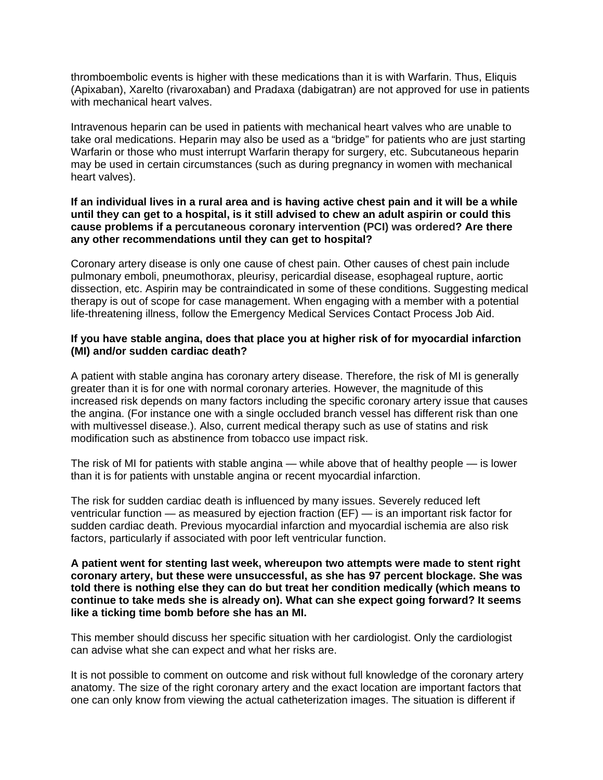thromboembolic events is higher with these medications than it is with Warfarin. Thus, Eliquis (Apixaban), Xarelto (rivaroxaban) and Pradaxa (dabigatran) are not approved for use in patients with mechanical heart valves.

Intravenous heparin can be used in patients with mechanical heart valves who are unable to take oral medications. Heparin may also be used as a "bridge" for patients who are just starting Warfarin or those who must interrupt Warfarin therapy for surgery, etc. Subcutaneous heparin may be used in certain circumstances (such as during pregnancy in women with mechanical heart valves).

## **If an individual lives in a rural area and is having active chest pain and it will be a while until they can get to a hospital, is it still advised to chew an adult aspirin or could this cause problems if a percutaneous coronary intervention (PCI) was ordered? Are there any other recommendations until they can get to hospital?**

Coronary artery disease is only one cause of chest pain. Other causes of chest pain include pulmonary emboli, pneumothorax, pleurisy, pericardial disease, esophageal rupture, aortic dissection, etc. Aspirin may be contraindicated in some of these conditions. Suggesting medical therapy is out of scope for case management. When engaging with a member with a potential life-threatening illness, follow the Emergency Medical Services Contact Process Job Aid.

# **If you have stable angina, does that place you at higher risk of for myocardial infarction (MI) and/or sudden cardiac death?**

A patient with stable angina has coronary artery disease. Therefore, the risk of MI is generally greater than it is for one with normal coronary arteries. However, the magnitude of this increased risk depends on many factors including the specific coronary artery issue that causes the angina. (For instance one with a single occluded branch vessel has different risk than one with multivessel disease.). Also, current medical therapy such as use of statins and risk modification such as abstinence from tobacco use impact risk.

The risk of MI for patients with stable angina — while above that of healthy people — is lower than it is for patients with unstable angina or recent myocardial infarction.

The risk for sudden cardiac death is influenced by many issues. Severely reduced left ventricular function — as measured by ejection fraction (EF) — is an important risk factor for sudden cardiac death. Previous myocardial infarction and myocardial ischemia are also risk factors, particularly if associated with poor left ventricular function.

## **A patient went for stenting last week, whereupon two attempts were made to stent right coronary artery, but these were unsuccessful, as she has 97 percent blockage. She was told there is nothing else they can do but treat her condition medically (which means to continue to take meds she is already on). What can she expect going forward? It seems like a ticking time bomb before she has an MI.**

This member should discuss her specific situation with her cardiologist. Only the cardiologist can advise what she can expect and what her risks are.

It is not possible to comment on outcome and risk without full knowledge of the coronary artery anatomy. The size of the right coronary artery and the exact location are important factors that one can only know from viewing the actual catheterization images. The situation is different if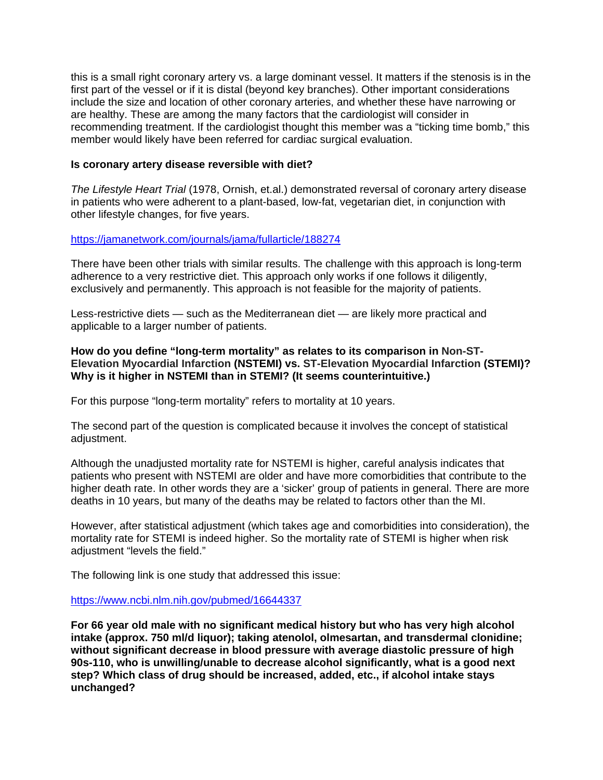this is a small right coronary artery vs. a large dominant vessel. It matters if the stenosis is in the first part of the vessel or if it is distal (beyond key branches). Other important considerations include the size and location of other coronary arteries, and whether these have narrowing or are healthy. These are among the many factors that the cardiologist will consider in recommending treatment. If the cardiologist thought this member was a "ticking time bomb," this member would likely have been referred for cardiac surgical evaluation.

### **Is coronary artery disease reversible with diet?**

*The Lifestyle Heart Trial* (1978, Ornish, et.al.) demonstrated reversal of coronary artery disease in patients who were adherent to a plant-based, low-fat, vegetarian diet, in conjunction with other lifestyle changes, for five years.

# https://jamanetwork.com/journals/jama/fullarticle/188274

There have been other trials with similar results. The challenge with this approach is long-term adherence to a very restrictive diet. This approach only works if one follows it diligently, exclusively and permanently. This approach is not feasible for the majority of patients.

Less-restrictive diets — such as the Mediterranean diet — are likely more practical and applicable to a larger number of patients.

## **How do you define "long-term mortality" as relates to its comparison in Non-ST-Elevation Myocardial Infarction (NSTEMI) vs. ST-Elevation Myocardial Infarction (STEMI)? Why is it higher in NSTEMI than in STEMI? (It seems counterintuitive.)**

For this purpose "long-term mortality" refers to mortality at 10 years.

The second part of the question is complicated because it involves the concept of statistical adjustment.

Although the unadjusted mortality rate for NSTEMI is higher, careful analysis indicates that patients who present with NSTEMI are older and have more comorbidities that contribute to the higher death rate. In other words they are a 'sicker' group of patients in general. There are more deaths in 10 years, but many of the deaths may be related to factors other than the MI.

However, after statistical adjustment (which takes age and comorbidities into consideration), the mortality rate for STEMI is indeed higher. So the mortality rate of STEMI is higher when risk adjustment "levels the field."

The following link is one study that addressed this issue:

https://www.ncbi.nlm.nih.gov/pubmed/16644337

**For 66 year old male with no significant medical history but who has very high alcohol intake (approx. 750 ml/d liquor); taking atenolol, olmesartan, and transdermal clonidine; without significant decrease in blood pressure with average diastolic pressure of high 90s-110, who is unwilling/unable to decrease alcohol significantly, what is a good next step? Which class of drug should be increased, added, etc., if alcohol intake stays unchanged?**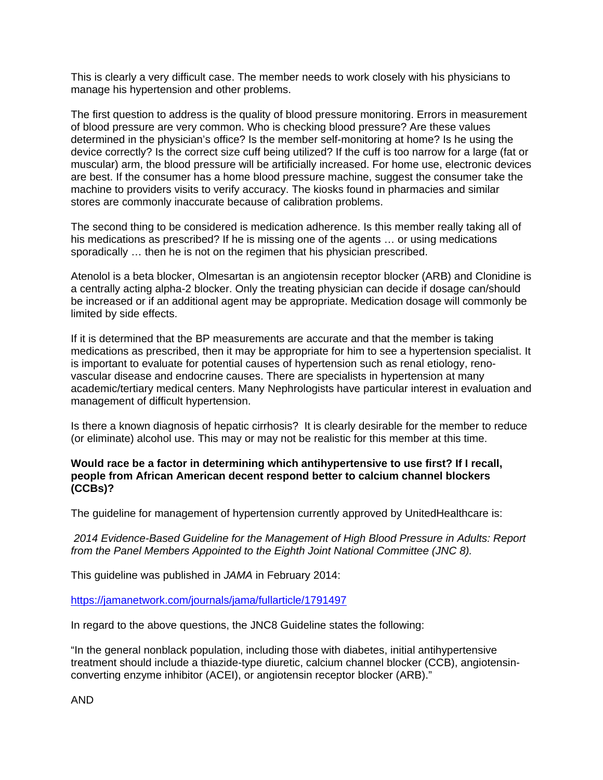This is clearly a very difficult case. The member needs to work closely with his physicians to manage his hypertension and other problems.

The first question to address is the quality of blood pressure monitoring. Errors in measurement of blood pressure are very common. Who is checking blood pressure? Are these values determined in the physician's office? Is the member self-monitoring at home? Is he using the device correctly? Is the correct size cuff being utilized? If the cuff is too narrow for a large (fat or muscular) arm, the blood pressure will be artificially increased. For home use, electronic devices are best. If the consumer has a home blood pressure machine, suggest the consumer take the machine to providers visits to verify accuracy. The kiosks found in pharmacies and similar stores are commonly inaccurate because of calibration problems.

The second thing to be considered is medication adherence. Is this member really taking all of his medications as prescribed? If he is missing one of the agents … or using medications sporadically … then he is not on the regimen that his physician prescribed.

Atenolol is a beta blocker, Olmesartan is an angiotensin receptor blocker (ARB) and Clonidine is a centrally acting alpha-2 blocker. Only the treating physician can decide if dosage can/should be increased or if an additional agent may be appropriate. Medication dosage will commonly be limited by side effects.

If it is determined that the BP measurements are accurate and that the member is taking medications as prescribed, then it may be appropriate for him to see a hypertension specialist. It is important to evaluate for potential causes of hypertension such as renal etiology, renovascular disease and endocrine causes. There are specialists in hypertension at many academic/tertiary medical centers. Many Nephrologists have particular interest in evaluation and management of difficult hypertension.

Is there a known diagnosis of hepatic cirrhosis? It is clearly desirable for the member to reduce (or eliminate) alcohol use. This may or may not be realistic for this member at this time.

# **Would race be a factor in determining which antihypertensive to use first? If I recall, people from African American decent respond better to calcium channel blockers (CCBs)?**

The guideline for management of hypertension currently approved by UnitedHealthcare is:

*2014 Evidence-Based Guideline for the Management of High Blood Pressure in Adults: Report from the Panel Members Appointed to the Eighth Joint National Committee (JNC 8).* 

This guideline was published in *JAMA* in February 2014:

https://jamanetwork.com/journals/jama/fullarticle/1791497

In regard to the above questions, the JNC8 Guideline states the following:

"In the general nonblack population, including those with diabetes, initial antihypertensive treatment should include a thiazide-type diuretic, calcium channel blocker (CCB), angiotensinconverting enzyme inhibitor (ACEI), or angiotensin receptor blocker (ARB)."

AND